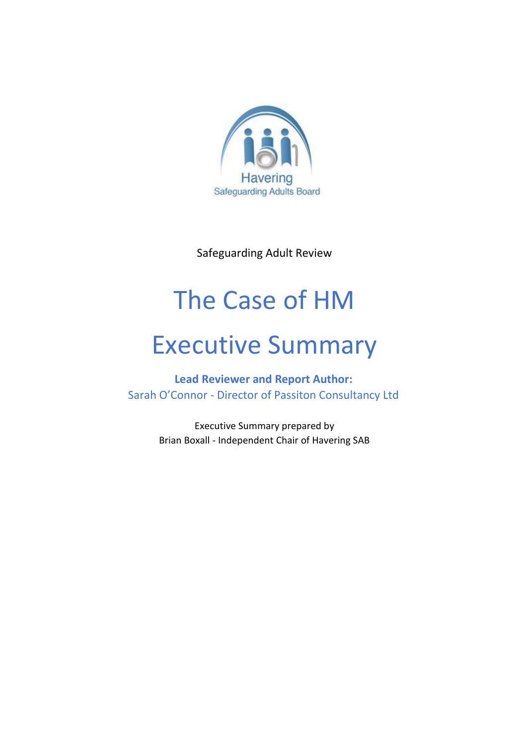

Safeguarding Adult Review

# The Case of HM

# Executive Summary

**Lead Reviewer and Report Author:** Sarah O'Connor - Director of Passiton Consultancy Ltd

> Executive Summary prepared by Brian Boxall - Independent Chair of Havering SAB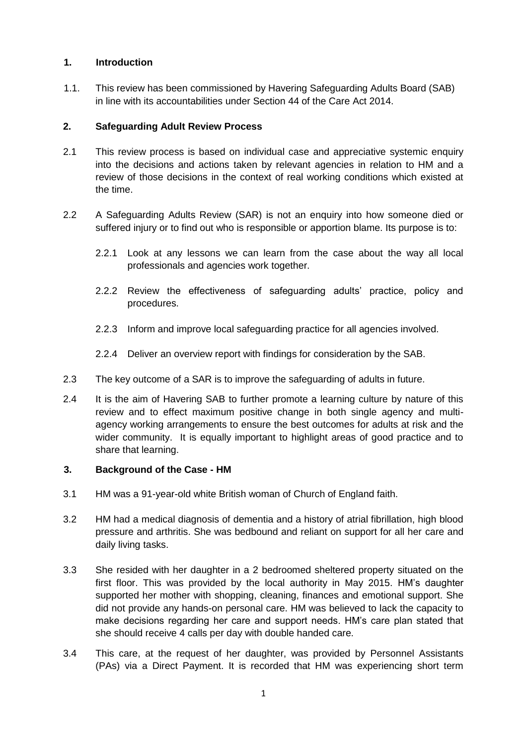# **1. Introduction**

1.1. This review has been commissioned by Havering Safeguarding Adults Board (SAB) in line with its accountabilities under Section 44 of the Care Act 2014.

#### **2. Safeguarding Adult Review Process**

- 2.1 This review process is based on individual case and appreciative systemic enquiry into the decisions and actions taken by relevant agencies in relation to HM and a review of those decisions in the context of real working conditions which existed at the time.
- 2.2 A Safeguarding Adults Review (SAR) is not an enquiry into how someone died or suffered injury or to find out who is responsible or apportion blame. Its purpose is to:
	- 2.2.1 Look at any lessons we can learn from the case about the way all local professionals and agencies work together.
	- 2.2.2 Review the effectiveness of safeguarding adults' practice, policy and procedures.
	- 2.2.3 Inform and improve local safeguarding practice for all agencies involved.
	- 2.2.4 Deliver an overview report with findings for consideration by the SAB.
- 2.3 The key outcome of a SAR is to improve the safeguarding of adults in future.
- 2.4 It is the aim of Havering SAB to further promote a learning culture by nature of this review and to effect maximum positive change in both single agency and multiagency working arrangements to ensure the best outcomes for adults at risk and the wider community. It is equally important to highlight areas of good practice and to share that learning.

#### **3. Background of the Case - HM**

- 3.1 HM was a 91-year-old white British woman of Church of England faith.
- 3.2 HM had a medical diagnosis of dementia and a history of atrial fibrillation, high blood pressure and arthritis. She was bedbound and reliant on support for all her care and daily living tasks.
- 3.3 She resided with her daughter in a 2 bedroomed sheltered property situated on the first floor. This was provided by the local authority in May 2015. HM's daughter supported her mother with shopping, cleaning, finances and emotional support. She did not provide any hands-on personal care. HM was believed to lack the capacity to make decisions regarding her care and support needs. HM's care plan stated that she should receive 4 calls per day with double handed care.
- 3.4 This care, at the request of her daughter, was provided by Personnel Assistants (PAs) via a Direct Payment. It is recorded that HM was experiencing short term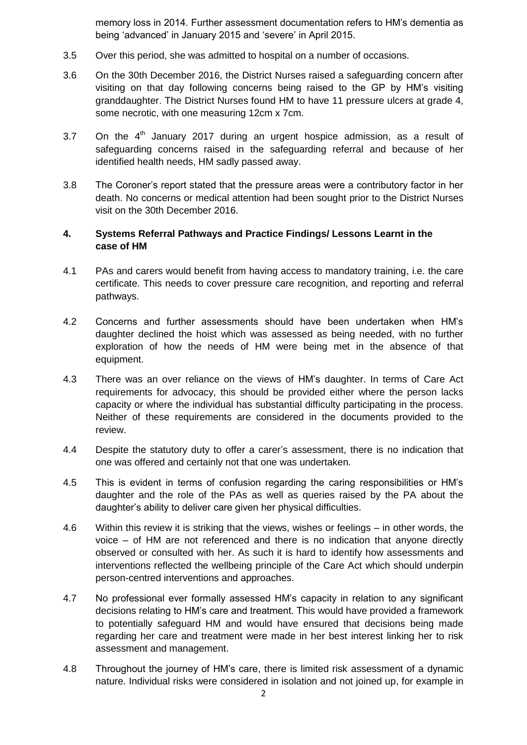memory loss in 2014. Further assessment documentation refers to HM's dementia as being 'advanced' in January 2015 and 'severe' in April 2015.

- 3.5 Over this period, she was admitted to hospital on a number of occasions.
- 3.6 On the 30th December 2016, the District Nurses raised a safeguarding concern after visiting on that day following concerns being raised to the GP by HM's visiting granddaughter. The District Nurses found HM to have 11 pressure ulcers at grade 4, some necrotic, with one measuring 12cm x 7cm.
- 3.7 On the  $4<sup>th</sup>$  January 2017 during an urgent hospice admission, as a result of safeguarding concerns raised in the safeguarding referral and because of her identified health needs, HM sadly passed away.
- 3.8 The Coroner's report stated that the pressure areas were a contributory factor in her death. No concerns or medical attention had been sought prior to the District Nurses visit on the 30th December 2016.

#### **4. Systems Referral Pathways and Practice Findings/ Lessons Learnt in the case of HM**

- 4.1 PAs and carers would benefit from having access to mandatory training, i.e. the care certificate. This needs to cover pressure care recognition, and reporting and referral pathways.
- 4.2 Concerns and further assessments should have been undertaken when HM's daughter declined the hoist which was assessed as being needed, with no further exploration of how the needs of HM were being met in the absence of that equipment.
- 4.3 There was an over reliance on the views of HM's daughter. In terms of Care Act requirements for advocacy, this should be provided either where the person lacks capacity or where the individual has substantial difficulty participating in the process. Neither of these requirements are considered in the documents provided to the review.
- 4.4 Despite the statutory duty to offer a carer's assessment, there is no indication that one was offered and certainly not that one was undertaken.
- 4.5 This is evident in terms of confusion regarding the caring responsibilities or HM's daughter and the role of the PAs as well as queries raised by the PA about the daughter's ability to deliver care given her physical difficulties.
- 4.6 Within this review it is striking that the views, wishes or feelings in other words, the voice – of HM are not referenced and there is no indication that anyone directly observed or consulted with her. As such it is hard to identify how assessments and interventions reflected the wellbeing principle of the Care Act which should underpin person-centred interventions and approaches.
- 4.7 No professional ever formally assessed HM's capacity in relation to any significant decisions relating to HM's care and treatment. This would have provided a framework to potentially safeguard HM and would have ensured that decisions being made regarding her care and treatment were made in her best interest linking her to risk assessment and management.
- 4.8 Throughout the journey of HM's care, there is limited risk assessment of a dynamic nature. Individual risks were considered in isolation and not joined up, for example in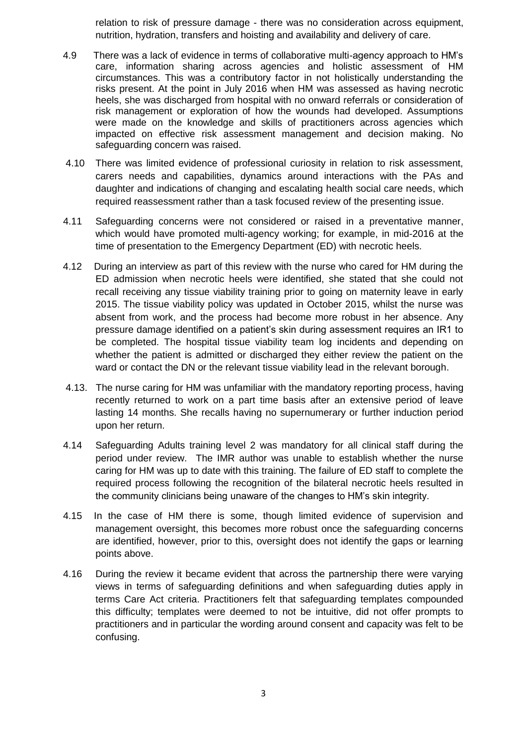relation to risk of pressure damage - there was no consideration across equipment, nutrition, hydration, transfers and hoisting and availability and delivery of care.

- 4.9 There was a lack of evidence in terms of collaborative multi-agency approach to HM's care, information sharing across agencies and holistic assessment of HM circumstances. This was a contributory factor in not holistically understanding the risks present. At the point in July 2016 when HM was assessed as having necrotic heels, she was discharged from hospital with no onward referrals or consideration of risk management or exploration of how the wounds had developed. Assumptions were made on the knowledge and skills of practitioners across agencies which impacted on effective risk assessment management and decision making. No safeguarding concern was raised.
- 4.10 There was limited evidence of professional curiosity in relation to risk assessment, carers needs and capabilities, dynamics around interactions with the PAs and daughter and indications of changing and escalating health social care needs, which required reassessment rather than a task focused review of the presenting issue.
- 4.11 Safeguarding concerns were not considered or raised in a preventative manner, which would have promoted multi-agency working; for example, in mid-2016 at the time of presentation to the Emergency Department (ED) with necrotic heels.
- 4.12 During an interview as part of this review with the nurse who cared for HM during the ED admission when necrotic heels were identified, she stated that she could not recall receiving any tissue viability training prior to going on maternity leave in early 2015. The tissue viability policy was updated in October 2015, whilst the nurse was absent from work, and the process had become more robust in her absence. Any pressure damage identified on a patient's skin during assessment requires an IR1 to be completed. The hospital tissue viability team log incidents and depending on whether the patient is admitted or discharged they either review the patient on the ward or contact the DN or the relevant tissue viability lead in the relevant borough.
- 4.13. The nurse caring for HM was unfamiliar with the mandatory reporting process, having recently returned to work on a part time basis after an extensive period of leave lasting 14 months. She recalls having no supernumerary or further induction period upon her return.
- 4.14 Safeguarding Adults training level 2 was mandatory for all clinical staff during the period under review. The IMR author was unable to establish whether the nurse caring for HM was up to date with this training. The failure of ED staff to complete the required process following the recognition of the bilateral necrotic heels resulted in the community clinicians being unaware of the changes to HM's skin integrity.
- 4.15 In the case of HM there is some, though limited evidence of supervision and management oversight, this becomes more robust once the safeguarding concerns are identified, however, prior to this, oversight does not identify the gaps or learning points above.
- 4.16 During the review it became evident that across the partnership there were varying views in terms of safeguarding definitions and when safeguarding duties apply in terms Care Act criteria. Practitioners felt that safeguarding templates compounded this difficulty; templates were deemed to not be intuitive, did not offer prompts to practitioners and in particular the wording around consent and capacity was felt to be confusing.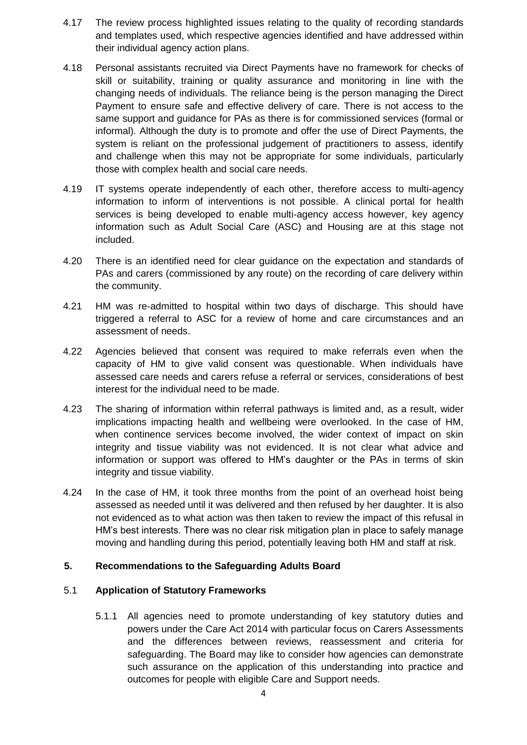- 4.17 The review process highlighted issues relating to the quality of recording standards and templates used, which respective agencies identified and have addressed within their individual agency action plans.
- 4.18 Personal assistants recruited via Direct Payments have no framework for checks of skill or suitability, training or quality assurance and monitoring in line with the changing needs of individuals. The reliance being is the person managing the Direct Payment to ensure safe and effective delivery of care. There is not access to the same support and guidance for PAs as there is for commissioned services (formal or informal). Although the duty is to promote and offer the use of Direct Payments, the system is reliant on the professional judgement of practitioners to assess, identify and challenge when this may not be appropriate for some individuals, particularly those with complex health and social care needs.
- 4.19 IT systems operate independently of each other, therefore access to multi-agency information to inform of interventions is not possible. A clinical portal for health services is being developed to enable multi-agency access however, key agency information such as Adult Social Care (ASC) and Housing are at this stage not included.
- 4.20 There is an identified need for clear guidance on the expectation and standards of PAs and carers (commissioned by any route) on the recording of care delivery within the community.
- 4.21 HM was re-admitted to hospital within two days of discharge. This should have triggered a referral to ASC for a review of home and care circumstances and an assessment of needs.
- 4.22 Agencies believed that consent was required to make referrals even when the capacity of HM to give valid consent was questionable. When individuals have assessed care needs and carers refuse a referral or services, considerations of best interest for the individual need to be made.
- 4.23 The sharing of information within referral pathways is limited and, as a result, wider implications impacting health and wellbeing were overlooked. In the case of HM, when continence services become involved, the wider context of impact on skin integrity and tissue viability was not evidenced. It is not clear what advice and information or support was offered to HM's daughter or the PAs in terms of skin integrity and tissue viability.
- 4.24 In the case of HM, it took three months from the point of an overhead hoist being assessed as needed until it was delivered and then refused by her daughter. It is also not evidenced as to what action was then taken to review the impact of this refusal in HM's best interests. There was no clear risk mitigation plan in place to safely manage moving and handling during this period, potentially leaving both HM and staff at risk.

# **5. Recommendations to the Safeguarding Adults Board**

#### 5.1 **Application of Statutory Frameworks**

5.1.1 All agencies need to promote understanding of key statutory duties and powers under the Care Act 2014 with particular focus on Carers Assessments and the differences between reviews, reassessment and criteria for safeguarding. The Board may like to consider how agencies can demonstrate such assurance on the application of this understanding into practice and outcomes for people with eligible Care and Support needs.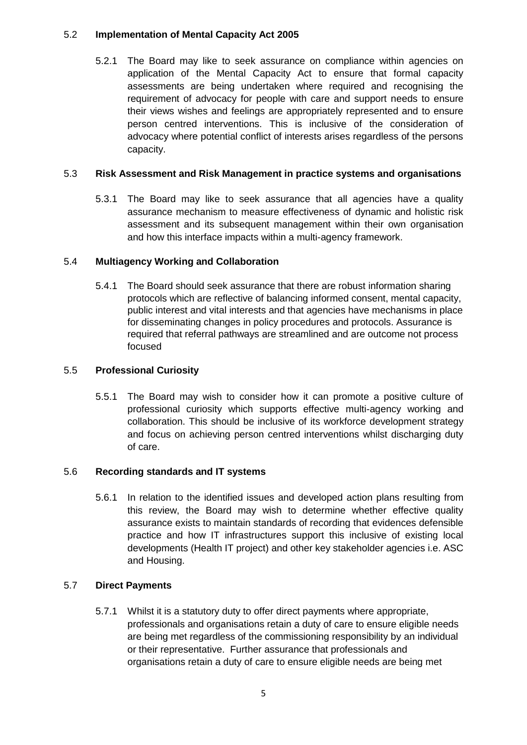#### 5.2 **Implementation of Mental Capacity Act 2005**

5.2.1 The Board may like to seek assurance on compliance within agencies on application of the Mental Capacity Act to ensure that formal capacity assessments are being undertaken where required and recognising the requirement of advocacy for people with care and support needs to ensure their views wishes and feelings are appropriately represented and to ensure person centred interventions. This is inclusive of the consideration of advocacy where potential conflict of interests arises regardless of the persons capacity.

# 5.3 **Risk Assessment and Risk Management in practice systems and organisations**

5.3.1 The Board may like to seek assurance that all agencies have a quality assurance mechanism to measure effectiveness of dynamic and holistic risk assessment and its subsequent management within their own organisation and how this interface impacts within a multi-agency framework.

# 5.4 **Multiagency Working and Collaboration**

5.4.1 The Board should seek assurance that there are robust information sharing protocols which are reflective of balancing informed consent, mental capacity, public interest and vital interests and that agencies have mechanisms in place for disseminating changes in policy procedures and protocols. Assurance is required that referral pathways are streamlined and are outcome not process focused

#### 5.5 **Professional Curiosity**

5.5.1 The Board may wish to consider how it can promote a positive culture of professional curiosity which supports effective multi-agency working and collaboration. This should be inclusive of its workforce development strategy and focus on achieving person centred interventions whilst discharging duty of care.

#### 5.6 **Recording standards and IT systems**

5.6.1 In relation to the identified issues and developed action plans resulting from this review, the Board may wish to determine whether effective quality assurance exists to maintain standards of recording that evidences defensible practice and how IT infrastructures support this inclusive of existing local developments (Health IT project) and other key stakeholder agencies i.e. ASC and Housing.

#### 5.7 **Direct Payments**

5.7.1 Whilst it is a statutory duty to offer direct payments where appropriate, professionals and organisations retain a duty of care to ensure eligible needs are being met regardless of the commissioning responsibility by an individual or their representative. Further assurance that professionals and organisations retain a duty of care to ensure eligible needs are being met